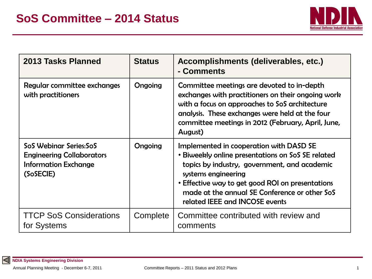

| 2013 Tasks Planned                                                                                     | <b>Status</b> | Accomplishments (deliverables, etc.)<br>- Comments                                                                                                                                                                                                                                                         |
|--------------------------------------------------------------------------------------------------------|---------------|------------------------------------------------------------------------------------------------------------------------------------------------------------------------------------------------------------------------------------------------------------------------------------------------------------|
| Regular committee exchanges<br>with practitioners                                                      | Ongoing       | Committee meetings are devoted to in-depth<br>exchanges with practitioners on their ongoing work<br>with a focus on approaches to SoS architecture<br>analysis. These exchanges were held at the four<br>committee meetings in 2012 (February, April, June,<br>August)                                     |
| SoS Webinar Series:SoS<br><b>Engineering Collaborators</b><br><b>Information Exchange</b><br>(SoSECIE) | Ongoing       | Implemented in cooperation with DASD SE<br>• Biweekly online presentations on SoS SE related<br>topics by industry, government, and academic<br>systems engineering<br>• Effective way to get good ROI on presentations<br>made at the annual SE Conference or other SoS<br>related IEEE and INCOSE events |
| <b>TTCP SoS Considerations</b><br>for Systems                                                          | Complete      | Committee contributed with review and<br>comments                                                                                                                                                                                                                                                          |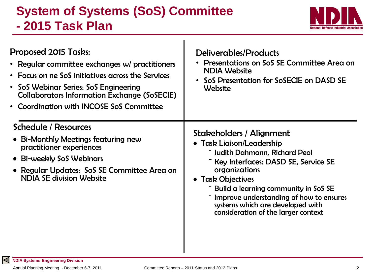## **System of Systems (SoS) Committee - 2015 Task Plan**



| Proposed 2015 Tasks:                                                                                                                                                                                         | Deliverables/Products                                                                                                                                                                                                                                                                                                                |
|--------------------------------------------------------------------------------------------------------------------------------------------------------------------------------------------------------------|--------------------------------------------------------------------------------------------------------------------------------------------------------------------------------------------------------------------------------------------------------------------------------------------------------------------------------------|
| • Regular committee exchanges w/ practitioners                                                                                                                                                               | Presentations on SoS SE Committee Area on                                                                                                                                                                                                                                                                                            |
| • Focus on ne SoS initiatives across the Services                                                                                                                                                            | <b>NDIA Website</b>                                                                                                                                                                                                                                                                                                                  |
| • SoS Webinar Series: SoS Engineering                                                                                                                                                                        | SoS Presentation for SoSECIE on DASD SE                                                                                                                                                                                                                                                                                              |
| <b>Collaborators Information Exchange (SoSECIE)</b>                                                                                                                                                          | $\bullet$                                                                                                                                                                                                                                                                                                                            |
| • Coordination with INCOSE SoS Committee                                                                                                                                                                     | Website                                                                                                                                                                                                                                                                                                                              |
| <b>Schedule / Resources</b><br>• Bi-Monthly Meetings featuring new<br>practitioner experiences<br>• Bi-weekly SoS Webinars<br>• Regular Updates: SoS SE Committee Area on<br><b>NDIA SE division Website</b> | Stakeholders / Alignment<br>• Task Liaison/Leadership<br>- Judith Dahmann, Richard Peol<br>Key Interfaces: DASD SE, Service SE<br>organizations<br>• Task Objectives<br>- Build a learning community in SoS SE<br>Improve understanding of how to ensures<br>systems which are developed with<br>consideration of the larger context |

 $\blacksquare$ 

 $\overline{\Delta}$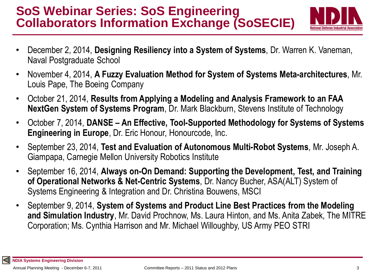## **SoS Webinar Series: SoS Engineering Collaborators Information Exchange (SoSECIE)**



- December 2, 2014, **Designing Resiliency into a System of Systems**, Dr. Warren K. Vaneman, Naval Postgraduate School
- November 4, 2014, **A Fuzzy Evaluation Method for System of Systems Meta-architectures**, Mr. Louis Pape, The Boeing Company
- October 21, 2014, **Results from Applying a Modeling and Analysis Framework to an FAA NextGen System of Systems Program**, Dr. Mark Blackburn, Stevens Institute of Technology
- October 7, 2014, **DANSE – An Effective, Tool-Supported Methodology for Systems of Systems Engineering in Europe**, Dr. Eric Honour, Honourcode, Inc.
- September 23, 2014, **Test and Evaluation of Autonomous Multi-Robot Systems**, Mr. Joseph A. Giampapa, Carnegie Mellon University Robotics Institute
- September 16, 2014, **Always on-On Demand: Supporting the Development, Test, and Training of Operational Networks & Net-Centric Systems**, Dr. Nancy Bucher, ASA(ALT) System of Systems Engineering & Integration and Dr. Christina Bouwens, MSCI
- September 9, 2014, **System of Systems and Product Line Best Practices from the Modeling and Simulation Industry**, Mr. David Prochnow, Ms. Laura Hinton, and Ms. Anita Zabek, The MITRE Corporation; Ms. Cynthia Harrison and Mr. Michael Willoughby, US Army PEO STRI